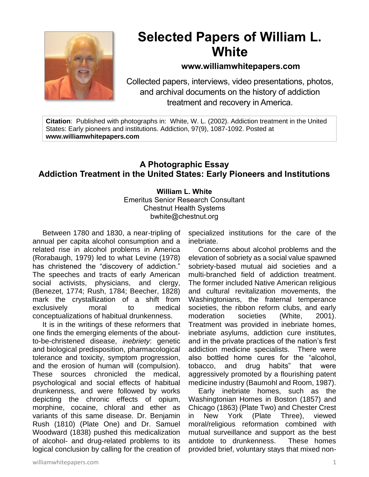

## **Selected Papers of William L. White**

## **www.williamwhitepapers.com**

Collected papers, interviews, video presentations, photos, and archival documents on the history of addiction treatment and recovery in America.

**Citation**: Published with photographs in: White, W. L. (2002). Addiction treatment in the United States: Early pioneers and institutions. Addiction, 97(9), 1087-1092. Posted at **www.williamwhitepapers.com**

## **A Photographic Essay Addiction Treatment in the United States: Early Pioneers and Institutions**

**William L. White** Emeritus Senior Research Consultant Chestnut Health Systems bwhite@chestnut.org

Between 1780 and 1830, a near-tripling of annual per capita alcohol consumption and a related rise in alcohol problems in America (Rorabaugh, 1979) led to what Levine (1978) has christened the "discovery of addiction." The speeches and tracts of early American social activists, physicians, and clergy, (Benezet, 1774; Rush, 1784; Beecher, 1828) mark the crystallization of a shift from exclusively moral to medical conceptualizations of habitual drunkenness.

It is in the writings of these reformers that one finds the emerging elements of the aboutto-be-christened disease, *inebriety*: genetic and biological predisposition, pharmacological tolerance and toxicity, symptom progression, and the erosion of human will (compulsion). These sources chronicled the medical, psychological and social effects of habitual drunkenness, and were followed by works depicting the chronic effects of opium, morphine, cocaine, chloral and ether as variants of this same disease. Dr. Benjamin Rush (1810) (Plate One) and Dr. Samuel Woodward (1838) pushed this medicalization of alcohol- and drug-related problems to its logical conclusion by calling for the creation of specialized institutions for the care of the inebriate.

Concerns about alcohol problems and the elevation of sobriety as a social value spawned sobriety-based mutual aid societies and a multi-branched field of addiction treatment. The former included Native American religious and cultural revitalization movements, the Washingtonians, the fraternal temperance societies, the ribbon reform clubs, and early moderation societies (White, 2001). Treatment was provided in inebriate homes, inebriate asylums, addiction cure institutes, and in the private practices of the nation's first addiction medicine specialists. There were also bottled home cures for the "alcohol, tobacco, and drug habits" that were aggressively promoted by a flourishing patent medicine industry (Baumohl and Room, 1987).

Early inebriate homes, such as the Washingtonian Homes in Boston (1857) and Chicago (1863) (Plate Two) and Chester Crest in New York (Plate Three), viewed moral/religious reformation combined with mutual surveillance and support as the best antidote to drunkenness. These homes provided brief, voluntary stays that mixed non-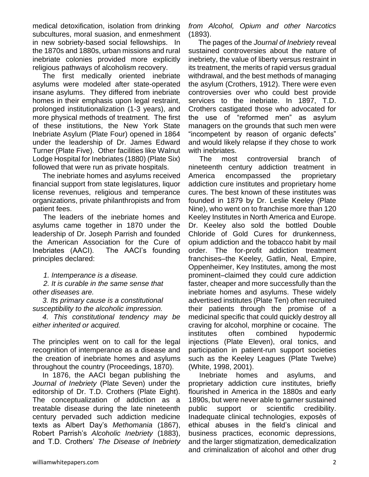medical detoxification, isolation from drinking subcultures, moral suasion, and enmeshment in new sobriety-based social fellowships. In the 1870s and 1880s, urban missions and rural inebriate colonies provided more explicitly religious pathways of alcoholism recovery.

The first medically oriented inebriate asylums were modeled after state-operated insane asylums. They differed from inebriate homes in their emphasis upon legal restraint, prolonged institutionalization (1-3 years), and more physical methods of treatment. The first of these institutions, the New York State Inebriate Asylum (Plate Four) opened in 1864 under the leadership of Dr. James Edward Turner (Plate Five). Other facilities like Walnut Lodge Hospital for Inebriates (1880) (Plate Six) followed that were run as private hospitals.

The inebriate homes and asylums received financial support from state legislatures, liquor license revenues, religious and temperance organizations, private philanthropists and from patient fees.

The leaders of the inebriate homes and asylums came together in 1870 under the leadership of Dr. Joseph Parrish and founded the American Association for the Cure of Inebriates (AACI). The AACI's founding principles declared:

*1. Intemperance is a disease.*

*2. It is curable in the same sense that other diseases are.*

*3. Its primary cause is a constitutional susceptibility to the alcoholic impression.*

*4. This constitutional tendency may be either inherited or acquired.*

The principles went on to call for the legal recognition of intemperance as a disease and the creation of inebriate homes and asylums throughout the country (Proceedings, 1870).

In 1876, the AACI began publishing the *Journal of Inebriety* (Plate Seven) under the editorship of Dr. T.D. Crothers (Plate Eight). The conceptualization of addiction as a treatable disease during the late nineteenth century pervaded such addiction medicine texts as Albert Day's *Methomania* (1867), Robert Parrish's *Alcoholic Inebriety* (1883), and T.D. Crothers' *The Disease of Inebriety*  *from Alcohol, Opium and other Narcotics* (1893).

The pages of the *Journal of Inebriety* reveal sustained controversies about the nature of inebriety, the value of liberty versus restraint in its treatment, the merits of rapid versus gradual withdrawal, and the best methods of managing the asylum (Crothers, 1912). There were even controversies over who could best provide services to the inebriate. In 1897, T.D. Crothers castigated those who advocated for the use of "reformed men" as asylum managers on the grounds that such men were "incompetent by reason of organic defects" and would likely relapse if they chose to work with inebriates.

The most controversial branch of nineteenth century addiction treatment in America encompassed the proprietary addiction cure institutes and proprietary home cures. The best known of these institutes was founded in 1879 by Dr. Leslie Keeley (Plate Nine), who went on to franchise more than 120 Keeley Institutes in North America and Europe. Dr. Keeley also sold the bottled Double Chloride of Gold Cures for drunkenness, opium addiction and the tobacco habit by mail order. The for-profit addiction treatment franchises–the Keeley, Gatlin, Neal, Empire, Oppenheimer, Key Institutes, among the most prominent–claimed they could cure addiction faster, cheaper and more successfully than the inebriate homes and asylums. These widely advertised institutes (Plate Ten) often recruited their patients through the promise of a medicinal specific that could quickly destroy all craving for alcohol, morphine or cocaine. The institutes often combined hypodermic injections (Plate Eleven), oral tonics, and participation in patient-run support societies such as the Keeley Leagues (Plate Twelve) (White, 1998, 2001).

Inebriate homes and asylums, and proprietary addiction cure institutes, briefly flourished in America in the 1880s and early 1890s, but were never able to garner sustained public support or scientific credibility. Inadequate clinical technologies, exposès of ethical abuses in the field's clinical and business practices, economic depressions, and the larger stigmatization, demedicalization and criminalization of alcohol and other drug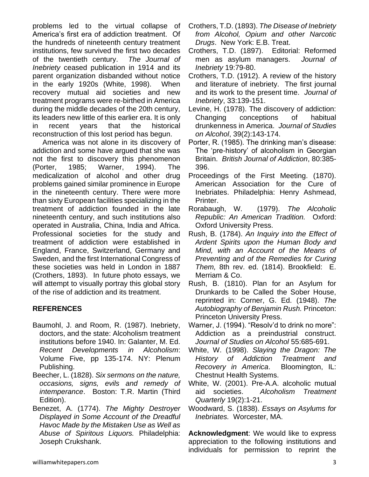problems led to the virtual collapse of America's first era of addiction treatment. Of the hundreds of nineteenth century treatment institutions, few survived the first two decades of the twentieth century. *The Journal of Inebriety* ceased publication in 1914 and its parent organization disbanded without notice in the early 1920s (White, 1998). When recovery mutual aid societies and new treatment programs were re-birthed in America during the middle decades of the 20th century, its leaders new little of this earlier era. It is only in recent years that the historical reconstruction of this lost period has begun.

America was not alone in its discovery of addiction and some have argued that she was not the first to discovery this phenomenon (Porter, 1985; Warner, 1994). The medicalization of alcohol and other drug problems gained similar prominence in Europe in the nineteenth century. There were more than sixty European facilities specializing in the treatment of addiction founded in the late nineteenth century, and such institutions also operated in Australia, China, India and Africa. Professional societies for the study and treatment of addiction were established in England, France, Switzerland, Germany and Sweden, and the first International Congress of these societies was held in London in 1887 (Crothers, 1893). In future photo essays, we will attempt to visually portray this global story of the rise of addiction and its treatment.

## **REFERENCES**

- Baumohl, J. and Room, R. (1987). Inebriety, doctors, and the state: Alcoholism treatment institutions before 1940. In: Galanter, M. Ed. *Recent Developments in Alcoholism*: Volume Five, pp 135-174. NY: Plenum Publishing.
- Beecher, L. (1828). *Six sermons on the nature, occasions, signs, evils and remedy of intemperance*. Boston: T.R. Martin (Third Edition).
- Benezet, A. (1774). *The Mighty Destroyer Displayed in Some Account of the Dreadful Havoc Made by the Mistaken Use as Well as Abuse of Spiritous Liquors.* Philadelphia: Joseph Crukshank.
- Crothers, T.D. (1893). *The Disease of Inebriety from Alcohol, Opium and other Narcotic Drugs*. New York: E.B. Treat.
- Crothers, T.D. (1897). Editorial: Reformed men as asylum managers. *Journal of Inebriety* 19:79-80.
- Crothers, T.D. (1912). A review of the history and literature of inebriety. The first journal and its work to the present time. *Journal of Inebriety*, 33:139-151.
- Levine, H. (1978). The discovery of addiction: Changing conceptions of habitual drunkenness in America. *Journal of Studies on Alcohol*, 39(2):143-174.
- Porter, R. (1985). The drinking man's disease: The 'pre-history' of alcoholism in Georgian Britain. *British Journal of Addiction*, 80:385- 396.
- Proceedings of the First Meeting. (1870). American Association for the Cure of Inebriates. Philadelphia: Henry Ashmead, Printer.
- Rorabaugh, W. (1979). *The Alcoholic Republic: An American Tradition.* Oxford: Oxford University Press.
- Rush, B. (1784). *An Inquiry into the Effect of Ardent Spirits upon the Human Body and Mind, with an Account of the Means of Preventing and of the Remedies for Curing Them,* 8th rev. ed. (1814). Brookfield: E. Merriam & Co.
- Rush, B. (1810). Plan for an Asylum for Drunkards to be Called the Sober House, reprinted in: Corner, G. Ed. (1948). *The Autobiography of Benjamin Rush.* Princeton: Princeton University Press.
- Warner, J. (1994). "Resolv'd to drink no more": Addiction as a preindustrial construct. *Journal of Studies on Alcohol* 55:685-691.
- White, W. (1998). *Slaying the Dragon: The History of Addiction Treatment and Recovery in America*. Bloomington, IL: Chestnut Health Systems.
- White, W. (2001). Pre-A.A. alcoholic mutual aid societies. *Alcoholism Treatment Quarterly* 19(2):1-21.
- Woodward, S. (1838). *Essays on Asylums for Inebriates.* Worcester, MA.

**Acknowledgment**: We would like to express appreciation to the following institutions and individuals for permission to reprint the